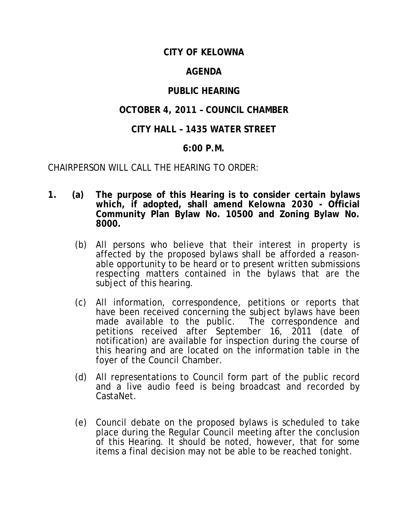# **CITY OF KELOWNA**

## **AGENDA**

# **PUBLIC HEARING**

# **OCTOBER 4, 2011 – COUNCIL CHAMBER**

## **CITY HALL – 1435 WATER STREET**

### **6:00 P.M.**

CHAIRPERSON WILL CALL THE HEARING TO ORDER:

- **1. (a) The purpose of this Hearing is to consider certain bylaws which, if adopted, shall amend** *Kelowna 2030* **- Official Community Plan Bylaw No. 10500 and Zoning Bylaw No. 8000.**
	- (b) All persons who believe that their interest in property is affected by the proposed bylaws shall be afforded a reasonable opportunity to be heard or to present written submissions respecting matters contained in the bylaws that are the subject of this hearing.
	- (c) All information, correspondence, petitions or reports that have been received concerning the subject bylaws have been made available to the public. The correspondence and petitions received after September 16, 2011 (date of notification) are available for inspection during the course of this hearing and are located on the information table in the foyer of the Council Chamber.
	- (d) All representations to Council form part of the public record and a live audio feed is being broadcast and recorded by CastaNet.
	- (e) Council debate on the proposed bylaws is scheduled to take place during the Regular Council meeting after the conclusion of this Hearing. It should be noted, however, that for some items a final decision may not be able to be reached tonight.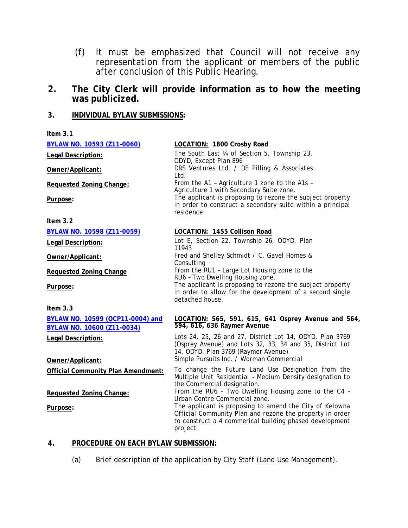- (f) It must be emphasized that Council will not receive any representation from the applicant or members of the public after conclusion of this Public Hearing.
- **2. The City Clerk will provide information as to how the meeting was publicized.**

#### **3. INDIVIDUAL BYLAW SUBMISSIONS:**

| Item $3.1$                                                            |                                                                                                                                                                                            |
|-----------------------------------------------------------------------|--------------------------------------------------------------------------------------------------------------------------------------------------------------------------------------------|
| <b>BYLAW NO. 10593 (Z11-0060)</b>                                     | LOCATION: 1800 Crosby Road                                                                                                                                                                 |
| Legal Description:                                                    | The South East ¼ of Section 5, Township 23,<br>ODYD, Except Plan 896                                                                                                                       |
| Owner/Applicant:                                                      | DRS Ventures Ltd. / DE Pilling & Associates<br>Ltd.                                                                                                                                        |
| Requested Zoning Change:                                              | From the A1 - Agriculture 1 zone to the A1s -<br>Agriculture 1 with Secondary Suite zone.                                                                                                  |
| Purpose:                                                              | The applicant is proposing to rezone the subject property<br>in order to construct a secondary suite within a principal<br>residence.                                                      |
| Item $3.2$                                                            |                                                                                                                                                                                            |
| BYLAW NO. 10598 (Z11-0059)                                            | LOCATION: 1455 Collison Road                                                                                                                                                               |
| Legal Description:                                                    | Lot E, Section 22, Township 26, ODYD, Plan<br>11943                                                                                                                                        |
| Owner/Applicant:                                                      | Fred and Shelley Schmidt / C. Gavel Homes &<br>Consulting                                                                                                                                  |
| <b>Requested Zoning Change</b>                                        | From the RU1 - Large Lot Housing zone to the<br>RU6 - Two Dwelling Housing zone.                                                                                                           |
| Purpose:                                                              | The applicant is proposing to rezone the subject property<br>in order to allow for the development of a second single<br>detached house.                                                   |
| Item $3.3$                                                            |                                                                                                                                                                                            |
| BYLAW NO. 10599 (OCP11-0004) and<br><b>BYLAW NO. 10600 (Z11-0034)</b> | LOCATION: 565, 591, 615, 641 Osprey Avenue and 564,<br>594, 616, 636 Raymer Avenue                                                                                                         |
| Legal Description:                                                    | Lots 24, 25, 26 and 27, District Lot 14, ODYD, Plan 3769<br>(Osprey Avenue) and Lots 32, 33, 34 and 35, District Lot<br>14, ODYD, Plan 3769 (Raymer Avenue)                                |
| Owner/Applicant:                                                      | Simple Pursuits Inc. / Worman Commercial                                                                                                                                                   |
| <b>Official Community Plan Amendment:</b>                             | To change the Future Land Use Designation from the<br>Multiple Unit Residential - Medium Density designation to<br>the Commercial designation.                                             |
| <b>Requested Zoning Change:</b>                                       | From the RU6 - Two Dwelling Housing zone to the C4 -<br>Urban Centre Commercial zone.                                                                                                      |
| Purpose:                                                              | The applicant is proposing to amend the City of Kelowna<br>Official Community Plan and rezone the property in order<br>to construct a 4 commerical building phased development<br>project. |

#### **4. PROCEDURE ON EACH BYLAW SUBMISSION:**

(a) Brief description of the application by City Staff (Land Use Management).